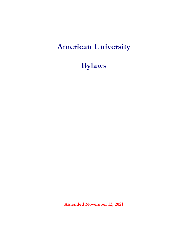# **American University**

**Bylaws**

**Amended November 12, 2021**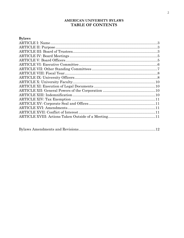## AMERICAN UNIVERSITY BYLAWS TABLE OF CONTENTS

| <b>Bylaws</b> |  |
|---------------|--|
|               |  |
|               |  |
|               |  |
|               |  |
|               |  |
|               |  |
|               |  |
|               |  |
|               |  |
|               |  |
|               |  |
|               |  |
|               |  |
|               |  |
|               |  |
|               |  |
|               |  |
|               |  |
|               |  |

|--|--|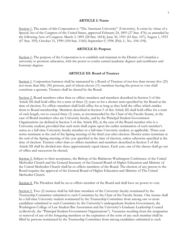#### **ARTICLE I: Name**

<span id="page-2-0"></span>Section 1. The name of this Corporation is "The American University" (University). It exists by virtue of a Special Act of the Congress of the United States, approved February 24, 1893 (27 Stat. 476); as amended by the following Acts of Congress: March 3, 1895 (28 Stat. 1814); June 30, 1951 (65 Stat. 107); August 1, 1953 (67 Stat. 359); October 31, 1990 (104 Stat. 1160); September 9, 1996 (Pub. L. No. 104–194).

#### **ARTICLE II: Purpose**

<span id="page-2-1"></span>Section 1. The purpose of the Corporation is to establish and maintain in the District of Columbia a university to promote education, with the power to confer earned academic degrees and certificates and honorary degrees.

#### **ARTICLE III: Board of Trustees**

<span id="page-2-2"></span>Section 1. Corporation business shall be transacted by a Board of Trustees of not less than twenty-five (25) nor more than fifty (50) persons, and of whom eleven (11) members having the power to vote shall constitute a quorum. Trustees shall be elected by the Board.

Section 2. Board members other than ex officio members and members described in Section 5 of this Article III shall hold office for a term of three (3) years or for a shorter term specified by the Board at the time of election. Ex officio members shall hold office for as long as they hold the office which entitles them to Board membership. Members described in Section 5 of this Article III shall hold office for a term of such length, not to exceed three (3) years, as recommended by the Chair of the Faculty Senate, in the case of Board members who are University faculty, and by the Principal Student Government Organizations (as defined in Section 5 of this Article III), in the case of the Board member who is a University student; provided that such term shall expire upon the earlier termination of such member's status as a full-time University faculty member or a full-time University student, as applicable. Three-year terms terminate at the end of the Spring meeting of the third year after election. Shorter terms terminate at the end of the Spring meeting of the year specified at the time of election, unless otherwise specified at the time of election. Trustees other than ex officio members and members described in Section 5 of this Article III shall be divided into three approximately equal classes. Each year, one of the classes shall go out of office and successors be elected.

Section 3. Subject to their acceptance, the Bishop of the Baltimore-Washington Conference of the United Methodist Church and the General Secretary of the General Board of Higher Education and Ministry of the United Methodist Church shall be ex officio members of the Board. The election of any person to the Board requires the approval of the General Board of Higher Education and Ministry of The United Methodist Church.

Section 4. The President shall be an ex officio member of the Board and shall have no power to vote.

Section 5. Two (2) trustees shall be full-time members of the University faculty nominated by the Trusteeship Committee submitted to such Committee by the Chair of the Faculty Senate. One trustee shall be a full-time University student nominated by the Trusteeship Committee from among one or more candidates submitted to such Committee by the University's undergraduate Student Government, the Washington College of Law Student Bar Association and the University's Graduate Leadership Council (collectively, the "Principal Student Government Organizations"). Vacancies resulting from the resignation or removal of any of the foregoing members or the expiration of the term of any such member shall be filled by persons nominated by the Trusteeship Committee from among candidates submitted to such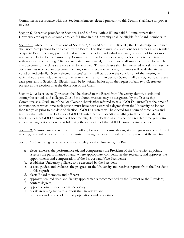Committee in accordance with this Section. Members elected pursuant to this Section shall have no power to vote.

Section 6. Except as provided in Sections 4 and 5 of this Article III, no paid full-time or part-time University employee or anyone enrolled full-time in the University shall be eligible for Board membership.

Section 7. Subject to the provisions of Sections 3, 4, 5 and 8 of this Article III, the Trusteeship Committee shall nominate persons to be elected by the Board. The Board may hold elections for trustees at any regular or special Board meeting, provided that written notice of an individual nominee, or a slate of two or more nominees selected by the Trusteeship Committee for re-election as a class, has been sent to each trustee with notice of the meeting. After a class slate is announced, the Secretary shall announce a date by which any objection to the class slate vote shall be accepted. Trustee classes shall be re-elected as a slate unless the Secretary has received an objection from any one trustee, in which case, nominees will be deliberated and voted on individually. Newly elected trustees' terms shall start upon the conclusion of the meeting in which they are elected, pursuant to the requirement set forth in Section 3, and shall be assigned to a trustee class pursuant to Section 2. Election may be by written ballot upon the request of any two (2) trustees present at the election or at the discretion of the Chair.

Section 8. At least seven (7) trustees shall be elected to the Board from University alumni, distributed among the schools and colleges. One of the alumni trustees may be designated by the Trusteeship Committee as a Graduate of the Last Decade (hereinafter referred to as a "GOLD Trustee") at the time of nomination, at which time such person must have been awarded a degree from the University no longer than ten years prior to the date of election. GOLD Trustees will be elected for a term of three years and may not thereafter be reelected as a GOLD Trustee. Notwithstanding anything to the contrary stated herein, a former GOLD Trustee will become eligible for election as a trustee for a regular three-year term after a waiting period of one year following the expiration of the GOLD Trustee term of service.

Section 9. A trustee may be removed from office, for adequate cause shown, at any regular or special Board meeting, by a vote of two-thirds of the trustees having the power to vote who are present at the meeting.

Section 10. Exercising its powers of responsibility for the University, the Board

- a. elects, assesses the performance of, and compensates the President of the University; appoints, assesses the performance of, and, where appropriate, compensates the Secretary, and approves the appointments and compensation of the Provost and Vice Presidents;
- b. establishes University policies, to be executed by the President;
- c. assists, guides, and evaluates the progress of the University and receives reports from the President in this regard;
- d. elects Board members and officers;
- e. approves tenured dean and faculty appointments recommended by the Provost or the President;
- f. confers degrees;
- g. appoints committees it deems necessary;
- h. assists in raising funds to support the University; and
- <span id="page-3-0"></span>preserves and protects University operations and properties.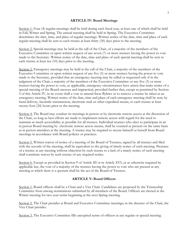#### **ARTICLE IV: Board Meetings**

Section 1. Four (4) regular meetings shall be held during each fiscal year, at least one of which shall be held in Fall, Winter and Spring. The annual meeting shall be held in Spring. The Executive Committee determines the date, time, and place of regular meetings. Written notice of the date, time and place of each regular meeting shall be sent to each trustee at least thirty (30) days prior to the meeting.

Section 2. Special meetings may be held at the call of the Chair, of a majority of the members of the Executive Committee or upon written request of any seven (7) or more trustees having the power to vote made to the Secretary. Written notice of the date, time and place of each special meeting shall be sent to each trustee at least ten (10) days prior to the meeting.

Section 3. Emergency meetings may be held at the call of the Chair, a majority of the members of the Executive Committee or upon written request of any five (5) or more trustees having the power to vote made to the Secretary, provided that an emergency meeting may be called or requested only if in the judgment of the Chair, a majority of the members of the Executive Committee or any five (5) or more trustees having the power to vote, as applicable, emergency circumstances have arisen that make notice of a special meeting of the Board onerous and impractical, provided further that, except as permitted by Section 5 of this Article IV, in no event shall a vote to amend these Bylaws or to remove a trustee be taken at an emergency meeting. Written notice of the date, time and place of each emergency meeting shall be sent, by hand delivery, facsimile transmission, electronic mail or other expedited means, to each trustee at least twenty-four (24) hours prior to the meeting.

Section 4. The Board may conduct its meetings in person or by electronic remote access at the discretion of the Chair, so long as best efforts are made to implement remote access with regard for the need to maintain as much accessibility as possible for all trustees. Individual trustees who elect to participate in an in person Board meeting by electronic remote access means, shall be counted as present on the same basis as in person attendees at the meeting. A trustee may be required to recuse himself or herself from Board meetings in accordance with Board policies or practices.

Section 5. Written waiver of notice of a meeting of the Board of Trustees, signed by all trustees and filed with the records of the meeting, shall be equivalent to the giving of timely notice of such meeting. Presence of a trustee at any meeting without objection by such trustee to a lack of a timely notice of such meeting shall constitute waiver by such trustee of any required notice.

Section 6. Except as provided in Section 9 of Article III or in Article XVI, or as otherwise required by applicable law, the vote of a majority of the trustees having the power to vote who are present at any meeting at which there is a quorum shall be the act of the Board of Trustees.

## **ARTICLE V: Board Officers**

<span id="page-4-0"></span>Section 1. Board officers shall be a Chair and a Vice Chair. Candidates are proposed by the Trusteeship Committee from among nominations submitted by all members of the Board. Officers are elected at the Winter meeting for two-year terms beginning at the next Spring meeting.

Section 2. The Chair presides at Board and Executive Committee meetings; in the absence of the Chair, the Vice Chair presides.

Section 3. The Executive Committee fills unexpired terms of officers at any regular or special meeting.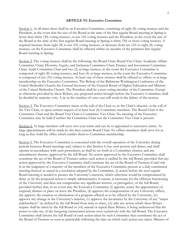#### **ARTICLE VI: Executive Committee**

<span id="page-5-0"></span>Section 1. At all times there shall be an Executive Committee, consisting of eight (8) voting trustees and the President, in the event that the size of the Board at the time of the first regular Board meeting in Spring is fewer than thirty (30) voting trustees, or ten (10) voting trustees and the President, in the event the size of the Board at the time of the first regular Board meeting in Spring is thirty (30) or more voting trustees. A required increase from eight (8) to ten (10) voting trustees, or decrease from ten (10) to eight (8) voting trustees, on the Executive Committee shall be effected within six months of the pertinent first regular Board meeting in Spring.

Section 2. The voting trustees shall be the following: the Board Chair; Board Vice Chair; Academic Affairs Committee Chair; Diversity, Equity, and Inclusion Committee Chair; Finance and Investment Committee Chair; Audit Committee Chair and two (2) at-large trustees, in the event the Executive Committee is composed of eight (8) voting trustees, and four (4) at-large trustees, in the event the Executive Committee is composed of ten (10) voting trustees. At least one of these trustees shall be offered ex officio or at-large membership on the Executive Committee: The Bishop of the Baltimore-Washington Conference of the United Methodist Church; the General Secretary of the General Board of Higher Education and Ministry of the United Methodist Church. The President shall be a non-voting member of the Committee. Except as otherwise provided by these Bylaws, any proposed action brought before the Executive Committee shall be decided by majority vote. A tie in the number of votes cast will result in the failure of the motion.

Section 3. The Executive Committee meets at the call of the Chair or, in the Chair's absence, at the call of the Vice Chair, or upon written request of at least four (4) Committee members. The Board Chair is the Committee Chair and the Board Vice Chair is Committee Vice Chair. No meeting of the Executive Committee may be held if neither the Committee Chair nor the Committee Vice Chair is present.

Section 4. At-large members will serve two-year terms and can be re-appointed to successive terms. Atlarge appointments will be made by the then current Board Chair. Ex officio members shall serve for as long as they hold the office which entitles them to Committee membership.

Section 5. The Executive Committee is concerned with the overall operation of the University during periods between Board meetings and, subject to this Section 4, has such powers and duties, and shall operate in accordance with such procedures, as shall be set forth in a Committee charter, and any amendments thereto, approved by the full Board. No action approved by the Executive Committee shall constitute the act of the Board of Trustees unless such action is ratified by the full Board, provided that any action approved by the Executive Committee shall constitute the act of the Board of Trustees if and only if, in the judgment of a majority of the members of the Executive Committee present at a duly constituted meeting thereof, as stated in a resolution adopted by the Committee, (i) action before the next regular Board meeting is needed to protect the University's interests, which otherwise would be compromised by delay or (ii) the proposed action is simply administrative in nature, is necessary for the efficient functioning of the University and does not compromise any significant interest, or prerogative, of the full Board, provided further that, in no event may the Executive Committee (i) appoint, renew the appointment of, suspend, dismiss or place on leave the President, (ii) approve the compensation of any University officer, (iii) approve the creation or elimination of a program offered or to be offered by the University, (iv) approve any change in the University's mission, (v) approve the incurrence by the University of any "major indebtedness" (as defined by the full Board from time to time), (vi) take any action which these Bylaws require shall be taken by the full Board or (vii) amend or repeal these Bylaws, it being understood that the power to take any of the foregoing enumerated actions rests exclusively with the full Board. The Executive Committee shall inform the full Board of each action taken by such Committee that constitutes the act of the Board of Trustees as soon as practicable following the date on which such action was taken. Minutes of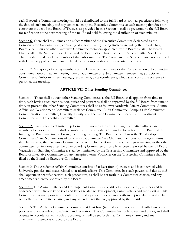each Executive Committee meeting should be distributed to the full Board as soon as practicable following the date of such meeting, and any action taken by the Executive Committee at each meeting that does not constitute the act of the Board of Trustees as provided in this Section 4 shall be presented to the full Board for ratification at the next meeting of the full Board held following the distribution of such minutes.

Section 6. There shall at all times be a subcommittee of the Executive Committee designated as the Compensation Subcommittee, consisting of at least five (5) voting trustees, including the Board Chair, Board Vice Chair and other Executive Committee members appointed by the Board Chair. The Board Chair shall be the Subcommittee Chair and the Board Vice Chair shall be the Subcommittee Vice Chair. The President shall not be a member of the Subcommittee. The Compensation Subcommittee is concerned with University policies and issues related to the compensation of University executives.

Section 7. A majority of voting members of the Executive Committee or the Compensation Subcommittee constitutes a quorum at any meeting thereof. Committee or Subcommittee members may participate in Committee or Subcommittee meetings, respectively, by teleconference, which shall constitute presence in person at the meeting.

## **ARTICLE VII: Other Standing Committees**

<span id="page-6-0"></span>Section 1. There shall be such other Standing Committees as the full Board shall appoint from time to time, each having such composition, duties and powers as shall be approved by the full Board from time to time. At present, the other Standing Committees shall be as follows: Academic Affairs Committee; Alumni Affairs and Development Committee; Athletics Committee; Audit Committee; Campus Life Committee; Communication Committee; Diversity, Equity, and Inclusion Committee; Finance and Investment Committee; and Trusteeship Committee.

Section 2. Except for the Trusteeship Committee, nominations of Standing Committee officers and members for two-year terms shall be made by the Trusteeship Committee for action by the Board at the first regular Board meeting following the Spring meeting. The Board Vice Chair is the Trusteeship Committee Chair. Nominations of Trusteeship Committee Vice Chair and members for two-year terms shall be made by the Executive Committee for action by the Board at the same regular meeting as the other committee nominations after the other Standing Committee officers have been approved by the full Board. Vacancies on Standing Committees shall be nominated by the Trusteeship Committee and approved by the Board or Executive Committee for any unexpired term. Vacancies on the Trusteeship Committee shall be filled by the Board or Executive Committee.

Section 3. The Academic Affairs Committee consists of at least four (4) trustees and is concerned with University policies and issues related to academic affairs. This Committee has such powers and duties, and shall operate in accordance with such procedures, as shall be set forth in a Committee charter, and any amendments thereto, approved by the Board.

Section 4. The Alumni Affairs and Development Committee consists of at least four (4) trustees and is concerned with University policies and issues related to development, alumni affairs and fund raising. This Committee has such powers and duties, and shall operate in accordance with such procedures, as shall be set forth in a Committee charter, and any amendments thereto, approved by the Board.

Section 5. The Athletics Committee consists of at least four (4) trustees and is concerned with University policies and issues related to athletics and recreation. This Committee has such powers and duties, and shall operate in accordance with such procedures, as shall be set forth in a Committee charter, and any amendments thereto, approved by the Board.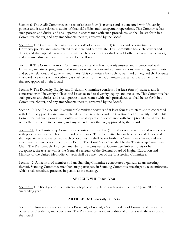Section 6. The Audit Committee consists of at least four (4) trustees and is concerned with University policies and issues related to audits of financial affairs and management operations. This Committee has such powers and duties, and shall operate in accordance with such procedures, as shall be set forth in a Committee charter, and any amendments thereto, approved by the Board.

Section 7. The Campus Life Committee consists of at least four (4) trustees and is concerned with University policies and issues related to student and campus life. This Committee has such powers and duties, and shall operate in accordance with such procedures, as shall be set forth in a Committee charter, and any amendments thereto, approved by the Board.

Section 8. The Communication Committee consists of at least four (4) trustees and is concerned with University initiatives, programs, and resources related to external communications, marketing, community and public relations, and government affairs. This committee has such powers and duties, and shall operate in accordance with such procedures, as shall be set forth in a Committee charter, and any amendments thereto, approved by the Board.

Section 9. The Diversity, Equity, and Inclusion Committee consists of at least four (4) trustees and is concerned with University policies and issues related to diversity, equity, and inclusion. This Committee has such powers and duties, and shall operate in accordance with such procedures, as shall be set forth in a Committee charter, and any amendments thereto, approved by the Board.

Section 10. The Finance and Investment Committee consists of at least four (4) trustees and is concerned with University policies and issues related to financial affairs and the investment of University funds. This Committee has such powers and duties, and shall operate in accordance with such procedures, as shall be set forth in a Committee charter, and any amendments thereto, approved by the Board.

Section 11. The Trusteeship Committee consists of at least five (5) trustees with seniority and is concerned with policies and issues related to Board governance. This Committee has such powers and duties, and shall operate in accordance with such procedures, as shall be set forth in a Committee charter, and any amendments thereto, approved by the Board. The Board Vice Chair shall be the Trusteeship Committee Chair. The President shall not be a member of the Trusteeship Committee. Subject to his or her acceptance, the trustee who is the General Secretary of the General Board of Higher Education and Ministry of the United Methodist Church shall be a member of the Trusteeship Committee.

Section 12. A majority of members of any Standing Committee constitutes a quorum at any meeting thereof. Standing Committee members may participate in Standing Committee meetings by teleconference, which shall constitute presence in person at the meeting.

#### **ARTICLE VIII: Fiscal Year**

<span id="page-7-0"></span>Section 1. The fiscal year of the University begins on July 1st of each year and ends on June 30th of the succeeding year.

#### **ARTICLE IX: University Officers**

<span id="page-7-1"></span>Section 1. University officers shall be a President, a Provost, a Vice President of Finance and Treasurer, other Vice Presidents, and a Secretary. The President can appoint additional officers with the approval of the Board.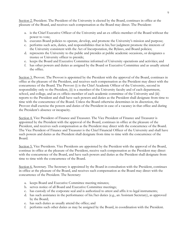Section 2. President. The President of the University is elected by the Board, continues in office at the pleasure of the Board, and receives such compensation as the Board may direct. The President:

- a. is the Chief Executive Officer of the University and an ex officio member of the Board without the power to vote;
- b. executes Board policies to operate, develop, and promote the University's mission and purpose;
- c. performs such acts, duties, and responsibilities that in his/her judgment promote the interests of the University consistent with the Act of Incorporation, the Bylaws, and Board policies;
- d. represents the University to the public and presides at public academic occasions, or designates a trustee or University officer to preside;
- e. keeps the Board and Executive Committee informed of University operations and activities; and
- f. has other powers and duties as assigned by the Board or Executive Committee and as usually attend the office.

Section 3. Provost. The Provost is appointed by the President with the approval of the Board, continues in office at the pleasure of the President, and receives such compensation as the President may direct with the concurrence of the Board. The Provost (i) is the Chief Academic Officer of the University, second in responsibility only to the President, (ii) is a member of the University faculty and of each department, school, and college, and an ex officio member of each academic committee of the University and (iii) reports to the President and shall have such powers and duties as the President shall designate from time to time with the concurrence of the Board. Unless the Board otherwise determines in its discretion, the Provost shall exercise the powers and duties of the President in case of a vacancy in that office and during the President's absence or incapacity.

Section 4. Vice President of Finance and Treasurer. The Vice President of Finance and Treasurer is appointed by the President with the approval of the Board, continues in office at the pleasure of the President, and receives such compensation as the President may direct with the concurrence of the Board. The Vice President of Finance and Treasurer is the Chief Financial Officer of the University and shall have such powers and duties as the President shall designate from time to time with the concurrence of the Board.

Section 5. Vice Presidents. Vice Presidents are appointed by the President with the approval of the Board, continue in office at the pleasure of the President, receive such compensation as the President may direct with the concurrence of the Board, and have such powers and duties as the President shall designate from time to time with the concurrence of the Board.

Section 6. Secretary. The Secretary is appointed by the Board in consultation with the President, continues in office at the pleasure of the Board, and receives such compensation as the Board may direct with the concurrence of the President. The Secretary:

- a. keeps Board and Executive Committee meeting minutes;
- b. serves notice of all Board and Executive Committee meetings;
- c. has custody of the corporate seal and is authorized to attest and affix it to legal instruments;
- d. has such assistance in the performance of his/her duties (e.g., an Assistant Secretary), as approved by the Board;
- e. has such duties as usually attend the office; and
- f. performs such other duties as may be assigned by the Board, in coordination with the President.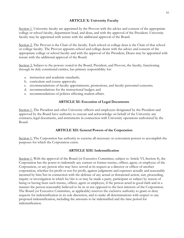## **ARTICLE X: University Faculty**

<span id="page-9-0"></span>Section 1. University faculty are appointed by the Provost with the advice and consent of the appropriate college or school faculty, department head, and dean, and with the approval of the President. University faculty may be appointed with tenure with the additional approval of the Board.

Section 2. The Provost is the Chair of the faculty. Each school or college dean is the Chair of that school or college faculty. The Provost appoints school and college deans with the advice and consent of the appropriate college or school faculty and with the approval of the President, Deans may be appointed with tenure with the additional approval of the Board.

Section 3. Subject to the powers vested in the Board, President, and Provost, the faculty, functioning through its duly constituted entities, has primary responsibility for:

- a. instruction and academic standards;
- b. curriculum and course approvals;
- c. recommendations of faculty appointments, promotions, and faculty personnel concerns;
- d. recommendations for the instructional budget; and
- e. recommendations of policies affecting student affairs.

#### **ARTICLE XI: Execution of Legal Documents**

<span id="page-9-1"></span>Section 1. The President and other University officers and employees designated by the President and approved by the Board have authority to execute and acknowledge on behalf of the University any contracts, legal documents, and instruments in connection with University operations authorized by the Board.

#### **ARTICLE XII: General Powers of the Corporation**

<span id="page-9-2"></span>Section 1. The Corporation has authority to exercise all necessary or convenient powers to accomplish the purposes for which the Corporation exists.

#### **ARTICLE XIII: Indemnification**

<span id="page-9-4"></span><span id="page-9-3"></span>Section 1. With the approval of the Board (or Executive Committee, subject to Article VI, Section 4), the Corporation has the power to indemnify any current or former trustee, officer, agent, or employee of the Corporation, or any person who may have served at its request as a director or officer of another corporation, whether for profit or not for profit, against judgments and expenses actually and reasonably incurred by him/her in connection with the defense of any actual or threatened action, suit, proceeding, inquiry or investigation in which he/she is or may be made a party, participant or subject by reason of being or having been such trustee, officer, agent or employee, if the person acted in good faith and in a manner the person reasonably believed to be in or not opposed to the best interests of the Corporation. The Board (or Executive Committee, as applicable) reserves the exclusive authority to grant or deny requests for indemnification in its sole discretion, and to make all determinations with respect to any proposed indemnification, including the amounts to be indemnified and the time period for indemnification.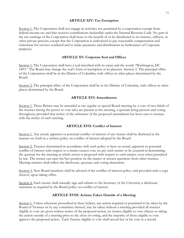#### **ARTICLE XIV: Tax Exemption**

Section 1. The Corporation shall not engage in activities not permitted by a corporation exempt from federal income tax and that receives contributions deductible under the Internal Revenue Code. No part of the net earnings of the Corporation shall inure to the benefit of or be distributed to its trustees, officers, or other private persons, except that the Corporation is authorized to pay reasonable compensation and retirement for services rendered and to make payments and distributions in furtherance of Corporate purposes.

## **ARTICLE XV: Corporate Seal and Offices**

<span id="page-10-0"></span>Section 1. The Corporation shall have a seal inscribed with its name and the words "Washington, DC 1893." The Board may change the seal's form or inscription at its pleasure. Section 2. The principal office of the Corporation shall be in the District of Columbia, with offices in other places determined by the Board.

Section 2. The principal office of the Corporation shall be in the District of Columbia, with offices in other places determined by the Board.

## **ARTICLE XVI: Amendments**

<span id="page-10-1"></span>Section 1. These Bylaws may be amended at any regular or special Board meeting by a vote of two-thirds of the trustees having the power to vote who are present at the meeting, a quorum being present and voting throughout, provided that notice of the substance of the proposed amendment has been sent to trustees with the notice of such meeting.

#### **ARTICLE XVII: Conflict of Interest**

<span id="page-10-2"></span>Section 1. Any actual, apparent or potential conflict of interest of any trustee shall be disclosed in the manner set forth in a written policy on conflict of interest adopted by the Board.

Section 2. Trustees determined in accordance with such policy to have an actual, apparent or potential conflict of interest with respect to a matter cannot vote on any such matter or be counted in determining the quorum for the meeting at which action is proposed with respect to such matter, even when permitted by law. The trustee can state his/her position on the matter or answer questions from other trustees. Meeting minutes shall reflect the disclosure, quorum, and voting abstention.

Section 3. New Board members shall be advised of the conflict of interest policy, and provided with a copy thereof, upon taking office.

Section 4. Each trustee shall annually sign and submit to the Secretary of the University a disclosure statement as required by the Board policy on conflict of interest.

#### **ARTICLE XVIII: Actions Taken Outside of a Meeting**

Section 1. Unless otherwise proscribed in these bylaws, any action required or permitted to be taken by the Board of Trustees or by any committee thereof, may be taken without a meeting provided all trustees eligible to vote are given written notice of the proposed action, no trustee eligible to vote objects to taking the action outside of a meeting prior to the close of voting, and the majority of those eligible to vote approve the proposed action. Each Trustee eligible to vote shall record her or his vote in a record